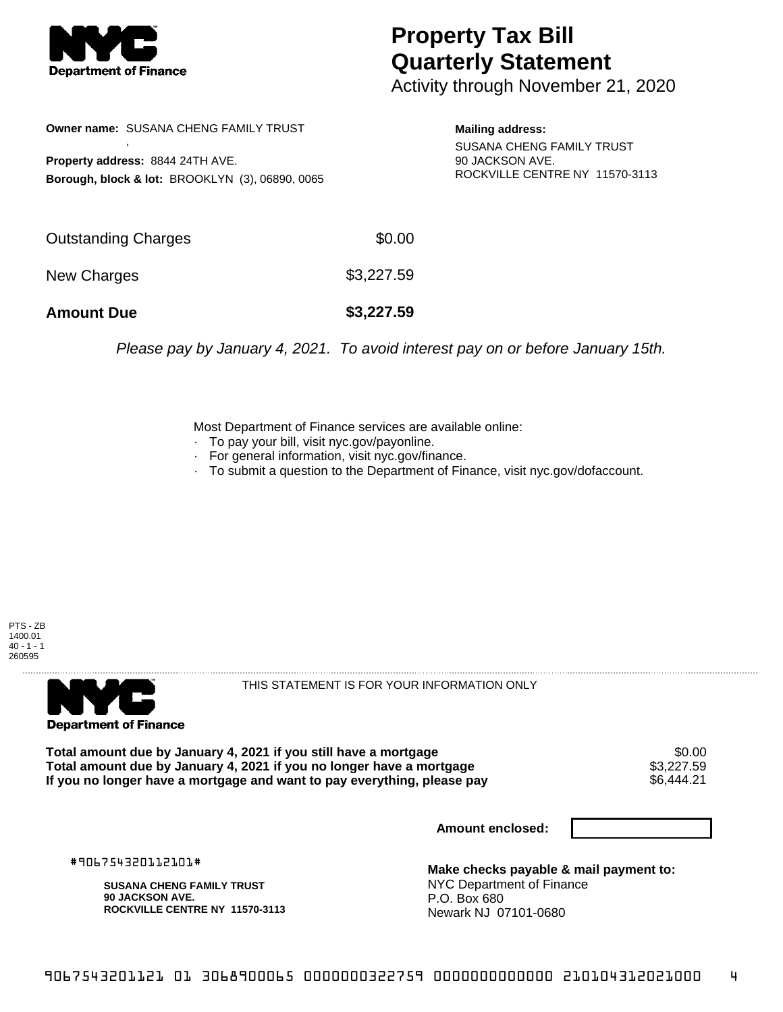

## **Property Tax Bill Quarterly Statement**

Activity through November 21, 2020

| <b>Owner name: SUSANA CHENG FAMILY TRUST</b><br>Property address: 8844 24TH AVE.<br>Borough, block & lot: BROOKLYN (3), 06890, 0065 |            | <b>Mailing address:</b><br><b>SUSANA CHENG FAMILY TRUST</b><br>90 JACKSON AVE.<br>ROCKVILLE CENTRE NY 11570-3113 |
|-------------------------------------------------------------------------------------------------------------------------------------|------------|------------------------------------------------------------------------------------------------------------------|
| <b>Outstanding Charges</b>                                                                                                          | \$0.00     |                                                                                                                  |
| New Charges                                                                                                                         | \$3,227.59 |                                                                                                                  |
| <b>Amount Due</b>                                                                                                                   | \$3,227.59 |                                                                                                                  |

Please pay by January 4, 2021. To avoid interest pay on or before January 15th.

Most Department of Finance services are available online:

- · To pay your bill, visit nyc.gov/payonline.
- For general information, visit nyc.gov/finance.
- · To submit a question to the Department of Finance, visit nyc.gov/dofaccount.

PTS - ZB 1400.01  $40 - 1 - 1$ 260595



THIS STATEMENT IS FOR YOUR INFORMATION ONLY

Total amount due by January 4, 2021 if you still have a mortgage \$0.00<br>Total amount due by January 4, 2021 if you no longer have a mortgage \$3.227.59 **Total amount due by January 4, 2021 if you no longer have a mortgage**  $$3,227.59$ **<br>If you no longer have a mortgage and want to pay everything, please pay** If you no longer have a mortgage and want to pay everything, please pay

**Amount enclosed:**

#906754320112101#

**SUSANA CHENG FAMILY TRUST 90 JACKSON AVE. ROCKVILLE CENTRE NY 11570-3113**

**Make checks payable & mail payment to:** NYC Department of Finance P.O. Box 680 Newark NJ 07101-0680